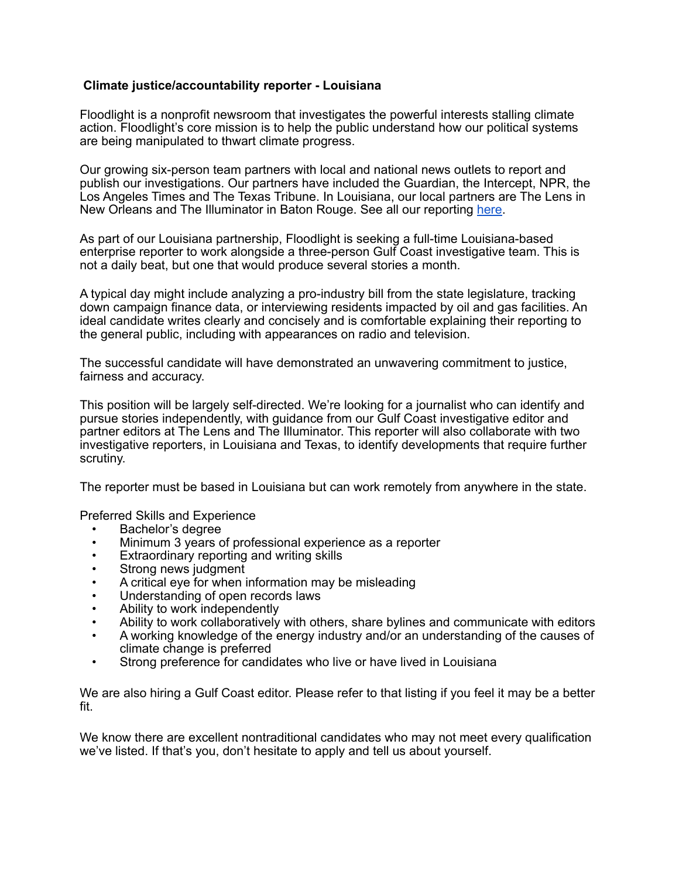## **Climate justice/accountability reporter - Louisiana**

Floodlight is a nonprofit newsroom that investigates the powerful interests stalling climate action. Floodlight's core mission is to help the public understand how our political systems are being manipulated to thwart climate progress.

Our growing six-person team partners with local and national news outlets to report and publish our investigations. Our partners have included the Guardian, the Intercept, NPR, the Los Angeles Times and The Texas Tribune. In Louisiana, our local partners are The Lens in New Orleans and The Illuminator in Baton Rouge. See all our reporting [here.](https://www.floodlightnews.org/post/see-all-of-floodlight-s-reporting-collaborations)

As part of our Louisiana partnership, Floodlight is seeking a full-time Louisiana-based enterprise reporter to work alongside a three-person Gulf Coast investigative team. This is not a daily beat, but one that would produce several stories a month.

A typical day might include analyzing a pro-industry bill from the state legislature, tracking down campaign finance data, or interviewing residents impacted by oil and gas facilities. An ideal candidate writes clearly and concisely and is comfortable explaining their reporting to the general public, including with appearances on radio and television.

The successful candidate will have demonstrated an unwavering commitment to justice, fairness and accuracy.

This position will be largely self-directed. We're looking for a journalist who can identify and pursue stories independently, with guidance from our Gulf Coast investigative editor and partner editors at The Lens and The Illuminator. This reporter will also collaborate with two investigative reporters, in Louisiana and Texas, to identify developments that require further scrutiny.

The reporter must be based in Louisiana but can work remotely from anywhere in the state.

Preferred Skills and Experience

- Bachelor's degree
- Minimum 3 years of professional experience as a reporter
- Extraordinary reporting and writing skills
- Strong news judgment
- A critical eye for when information may be misleading
- Understanding of open records laws
- Ability to work independently
- Ability to work collaboratively with others, share bylines and communicate with editors
- A working knowledge of the energy industry and/or an understanding of the causes of climate change is preferred
- Strong preference for candidates who live or have lived in Louisiana

We are also hiring a Gulf Coast editor. Please refer to that listing if you feel it may be a better fit.

We know there are excellent nontraditional candidates who may not meet every qualification we've listed. If that's you, don't hesitate to apply and tell us about yourself.